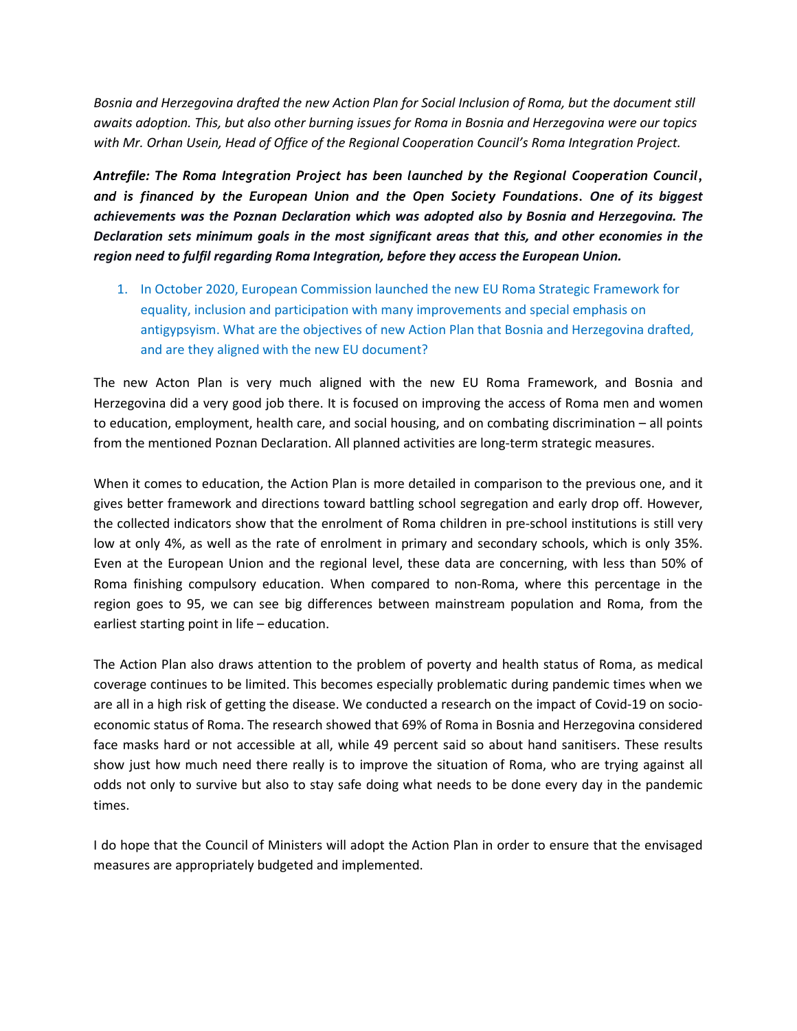*Bosnia and Herzegovina drafted the new Action Plan for Social Inclusion of Roma, but the document still awaits adoption. This, but also other burning issues for Roma in Bosnia and Herzegovina were our topics with Mr. Orhan Usein, Head of Office of the Regional Cooperation Council's Roma Integration Project.*

*Antrefile: The Roma Integration Project has been launched by the Regional Cooperation Council, and is financed by the European Union and the Open Society Foundations. One of its biggest achievements was the Poznan Declaration which was adopted also by Bosnia and Herzegovina. The Declaration sets minimum goals in the most significant areas that this, and other economies in the region need to fulfil regarding Roma Integration, before they access the European Union.*

1. In October 2020, European Commission launched the new EU Roma Strategic Framework for equality, inclusion and participation with many improvements and special emphasis on antigypsyism. What are the objectives of new Action Plan that Bosnia and Herzegovina drafted, and are they aligned with the new EU document?

The new Acton Plan is very much aligned with the new EU Roma Framework, and Bosnia and Herzegovina did a very good job there. It is focused on improving the access of Roma men and women to education, employment, health care, and social housing, and on combating discrimination – all points from the mentioned Poznan Declaration. All planned activities are long-term strategic measures.

When it comes to education, the Action Plan is more detailed in comparison to the previous one, and it gives better framework and directions toward battling school segregation and early drop off. However, the collected indicators show that the enrolment of Roma children in pre-school institutions is still very low at only 4%, as well as the rate of enrolment in primary and secondary schools, which is only 35%. Even at the European Union and the regional level, these data are concerning, with less than 50% of Roma finishing compulsory education. When compared to non-Roma, where this percentage in the region goes to 95, we can see big differences between mainstream population and Roma, from the earliest starting point in life – education.

The Action Plan also draws attention to the problem of poverty and health status of Roma, as medical coverage continues to be limited. This becomes especially problematic during pandemic times when we are all in a high risk of getting the disease. We conducted a research on the impact of Covid-19 on socioeconomic status of Roma. The research showed that 69% of Roma in Bosnia and Herzegovina considered face masks hard or not accessible at all, while 49 percent said so about hand sanitisers. These results show just how much need there really is to improve the situation of Roma, who are trying against all odds not only to survive but also to stay safe doing what needs to be done every day in the pandemic times.

I do hope that the Council of Ministers will adopt the Action Plan in order to ensure that the envisaged measures are appropriately budgeted and implemented.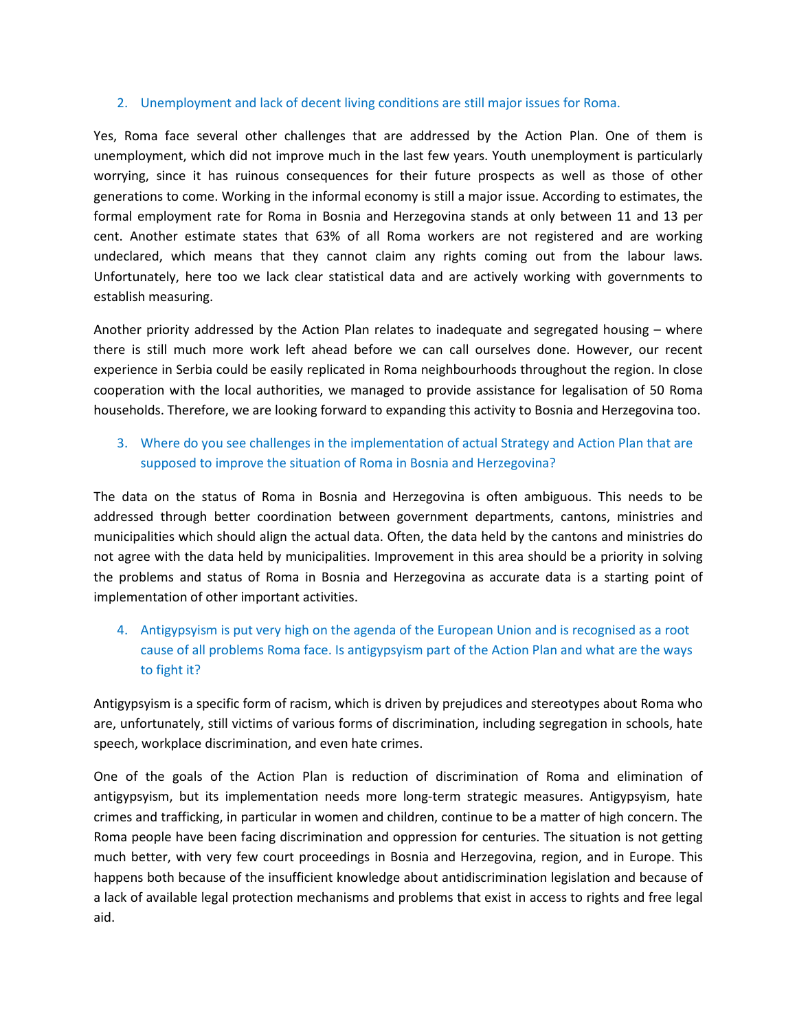### 2. Unemployment and lack of decent living conditions are still major issues for Roma.

Yes, Roma face several other challenges that are addressed by the Action Plan. One of them is unemployment, which did not improve much in the last few years. Youth unemployment is particularly worrying, since it has ruinous consequences for their future prospects as well as those of other generations to come. Working in the informal economy is still a major issue. According to estimates, the formal employment rate for Roma in Bosnia and Herzegovina stands at only between 11 and 13 per cent. Another estimate states that 63% of all Roma workers are not registered and are working undeclared, which means that they cannot claim any rights coming out from the labour laws. Unfortunately, here too we lack clear statistical data and are actively working with governments to establish measuring.

Another priority addressed by the Action Plan relates to inadequate and segregated housing – where there is still much more work left ahead before we can call ourselves done. However, our recent experience in Serbia could be easily replicated in Roma neighbourhoods throughout the region. In close cooperation with the local authorities, we managed to provide assistance for legalisation of 50 Roma households. Therefore, we are looking forward to expanding this activity to Bosnia and Herzegovina too.

## 3. Where do you see challenges in the implementation of actual Strategy and Action Plan that are supposed to improve the situation of Roma in Bosnia and Herzegovina?

The data on the status of Roma in Bosnia and Herzegovina is often ambiguous. This needs to be addressed through better coordination between government departments, cantons, ministries and municipalities which should align the actual data. Often, the data held by the cantons and ministries do not agree with the data held by municipalities. Improvement in this area should be a priority in solving the problems and status of Roma in Bosnia and Herzegovina as accurate data is a starting point of implementation of other important activities.

# 4. Antigypsyism is put very high on the agenda of the European Union and is recognised as a root cause of all problems Roma face. Is antigypsyism part of the Action Plan and what are the ways to fight it?

Antigypsyism is a specific form of racism, which is driven by prejudices and stereotypes about Roma who are, unfortunately, still victims of various forms of discrimination, including segregation in schools, hate speech, workplace discrimination, and even hate crimes.

One of the goals of the Action Plan is reduction of discrimination of Roma and elimination of antigypsyism, but its implementation needs more long-term strategic measures. Antigypsyism, hate crimes and trafficking, in particular in women and children, continue to be a matter of high concern. The Roma people have been facing discrimination and oppression for centuries. The situation is not getting much better, with very few court proceedings in Bosnia and Herzegovina, region, and in Europe. This happens both because of the insufficient knowledge about antidiscrimination legislation and because of a lack of available legal protection mechanisms and problems that exist in access to rights and free legal aid.